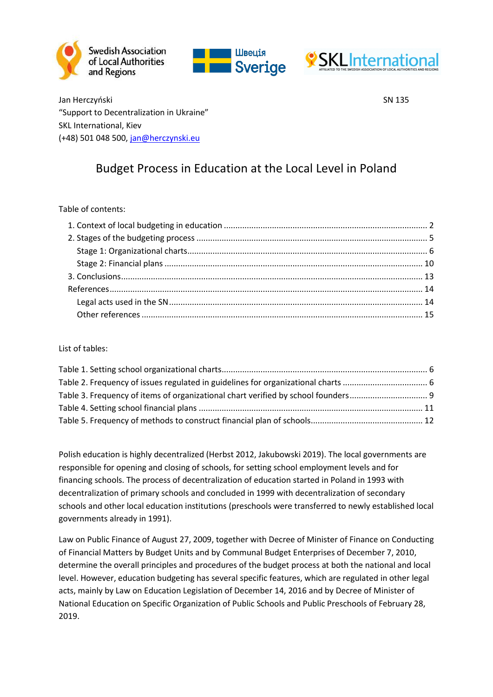





Jan Herczyński SN 135 "Support to Decentralization in Ukraine" SKL International, Kiev (+48) 501 048 500, [jan@herczynski.eu](mailto:jan@herczynski.eu)

# Budget Process in Education at the Local Level in Poland

#### Table of contents:

List of tables:

Polish education is highly decentralized (Herbst 2012, Jakubowski 2019). The local governments are responsible for opening and closing of schools, for setting school employment levels and for financing schools. The process of decentralization of education started in Poland in 1993 with decentralization of primary schools and concluded in 1999 with decentralization of secondary schools and other local education institutions (preschools were transferred to newly established local governments already in 1991).

Law on Public Finance of August 27, 2009, together with Decree of Minister of Finance on Conducting of Financial Matters by Budget Units and by Communal Budget Enterprises of December 7, 2010, determine the overall principles and procedures of the budget process at both the national and local level. However, education budgeting has several specific features, which are regulated in other legal acts, mainly by Law on Education Legislation of December 14, 2016 and by Decree of Minister of National Education on Specific Organization of Public Schools and Public Preschools of February 28, 2019.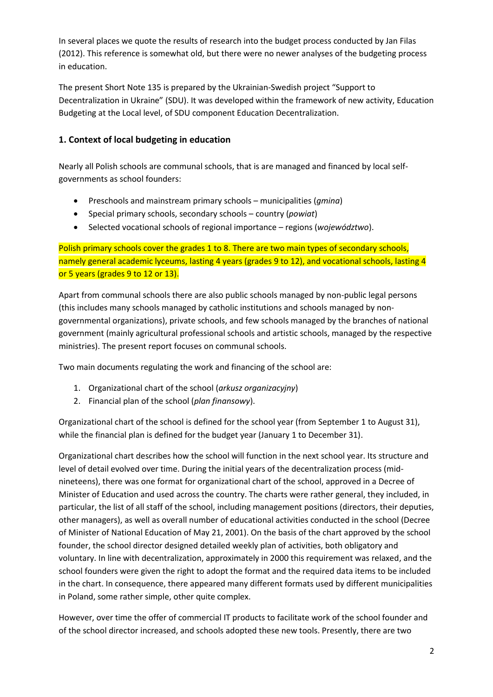In several places we quote the results of research into the budget process conducted by Jan Filas (2012). This reference is somewhat old, but there were no newer analyses of the budgeting process in education.

The present Short Note 135 is prepared by the Ukrainian-Swedish project "Support to Decentralization in Ukraine" (SDU). It was developed within the framework of new activity, Education Budgeting at the Local level, of SDU component Education Decentralization.

# <span id="page-1-0"></span>**1. Context of local budgeting in education**

Nearly all Polish schools are communal schools, that is are managed and financed by local selfgovernments as school founders:

- Preschools and mainstream primary schools municipalities (*gmina*)
- Special primary schools, secondary schools country (*powiat*)
- Selected vocational schools of regional importance regions (*województwo*).

Polish primary schools cover the grades 1 to 8. There are two main types of secondary schools, namely general academic lyceums, lasting 4 years (grades 9 to 12), and vocational schools, lasting 4 or 5 years (grades 9 to 12 or 13).

Apart from communal schools there are also public schools managed by non-public legal persons (this includes many schools managed by catholic institutions and schools managed by nongovernmental organizations), private schools, and few schools managed by the branches of national government (mainly agricultural professional schools and artistic schools, managed by the respective ministries). The present report focuses on communal schools.

Two main documents regulating the work and financing of the school are:

- 1. Organizational chart of the school (*arkusz organizacyjny*)
- 2. Financial plan of the school (*plan finansowy*).

Organizational chart of the school is defined for the school year (from September 1 to August 31), while the financial plan is defined for the budget year (January 1 to December 31).

Organizational chart describes how the school will function in the next school year. Its structure and level of detail evolved over time. During the initial years of the decentralization process (midnineteens), there was one format for organizational chart of the school, approved in a Decree of Minister of Education and used across the country. The charts were rather general, they included, in particular, the list of all staff of the school, including management positions (directors, their deputies, other managers), as well as overall number of educational activities conducted in the school (Decree of Minister of National Education of May 21, 2001). On the basis of the chart approved by the school founder, the school director designed detailed weekly plan of activities, both obligatory and voluntary. In line with decentralization, approximately in 2000 this requirement was relaxed, and the school founders were given the right to adopt the format and the required data items to be included in the chart. In consequence, there appeared many different formats used by different municipalities in Poland, some rather simple, other quite complex.

However, over time the offer of commercial IT products to facilitate work of the school founder and of the school director increased, and schools adopted these new tools. Presently, there are two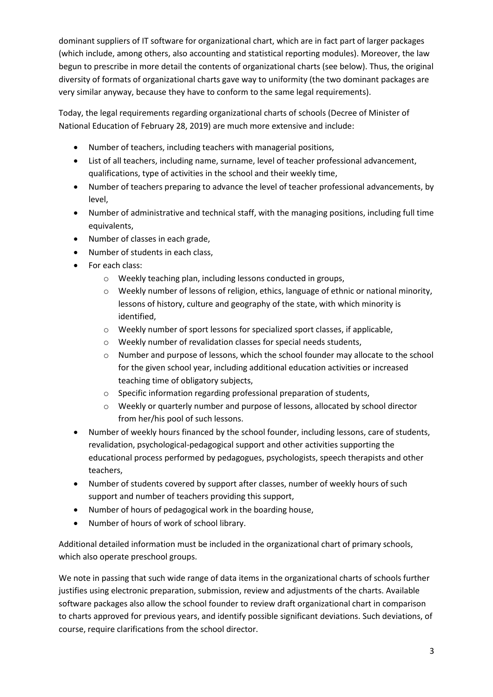dominant suppliers of IT software for organizational chart, which are in fact part of larger packages (which include, among others, also accounting and statistical reporting modules). Moreover, the law begun to prescribe in more detail the contents of organizational charts (see below). Thus, the original diversity of formats of organizational charts gave way to uniformity (the two dominant packages are very similar anyway, because they have to conform to the same legal requirements).

Today, the legal requirements regarding organizational charts of schools (Decree of Minister of National Education of February 28, 2019) are much more extensive and include:

- Number of teachers, including teachers with managerial positions,
- List of all teachers, including name, surname, level of teacher professional advancement, qualifications, type of activities in the school and their weekly time,
- Number of teachers preparing to advance the level of teacher professional advancements, by level,
- Number of administrative and technical staff, with the managing positions, including full time equivalents,
- Number of classes in each grade,
- Number of students in each class,
- For each class:
	- o Weekly teaching plan, including lessons conducted in groups,
	- o Weekly number of lessons of religion, ethics, language of ethnic or national minority, lessons of history, culture and geography of the state, with which minority is identified,
	- $\circ$  Weekly number of sport lessons for specialized sport classes, if applicable,
	- o Weekly number of revalidation classes for special needs students,
	- o Number and purpose of lessons, which the school founder may allocate to the school for the given school year, including additional education activities or increased teaching time of obligatory subjects,
	- o Specific information regarding professional preparation of students,
	- o Weekly or quarterly number and purpose of lessons, allocated by school director from her/his pool of such lessons.
- Number of weekly hours financed by the school founder, including lessons, care of students, revalidation, psychological-pedagogical support and other activities supporting the educational process performed by pedagogues, psychologists, speech therapists and other teachers,
- Number of students covered by support after classes, number of weekly hours of such support and number of teachers providing this support,
- Number of hours of pedagogical work in the boarding house,
- Number of hours of work of school library.

Additional detailed information must be included in the organizational chart of primary schools, which also operate preschool groups.

We note in passing that such wide range of data items in the organizational charts of schools further justifies using electronic preparation, submission, review and adjustments of the charts. Available software packages also allow the school founder to review draft organizational chart in comparison to charts approved for previous years, and identify possible significant deviations. Such deviations, of course, require clarifications from the school director.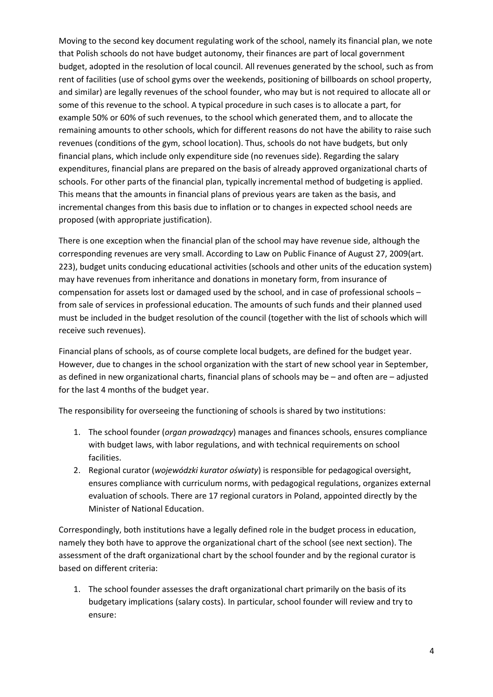Moving to the second key document regulating work of the school, namely its financial plan, we note that Polish schools do not have budget autonomy, their finances are part of local government budget, adopted in the resolution of local council. All revenues generated by the school, such as from rent of facilities (use of school gyms over the weekends, positioning of billboards on school property, and similar) are legally revenues of the school founder, who may but is not required to allocate all or some of this revenue to the school. A typical procedure in such cases is to allocate a part, for example 50% or 60% of such revenues, to the school which generated them, and to allocate the remaining amounts to other schools, which for different reasons do not have the ability to raise such revenues (conditions of the gym, school location). Thus, schools do not have budgets, but only financial plans, which include only expenditure side (no revenues side). Regarding the salary expenditures, financial plans are prepared on the basis of already approved organizational charts of schools. For other parts of the financial plan, typically incremental method of budgeting is applied. This means that the amounts in financial plans of previous years are taken as the basis, and incremental changes from this basis due to inflation or to changes in expected school needs are proposed (with appropriate justification).

There is one exception when the financial plan of the school may have revenue side, although the corresponding revenues are very small. According to Law on Public Finance of August 27, 2009(art. 223), budget units conducing educational activities (schools and other units of the education system) may have revenues from inheritance and donations in monetary form, from insurance of compensation for assets lost or damaged used by the school, and in case of professional schools – from sale of services in professional education. The amounts of such funds and their planned used must be included in the budget resolution of the council (together with the list of schools which will receive such revenues).

Financial plans of schools, as of course complete local budgets, are defined for the budget year. However, due to changes in the school organization with the start of new school year in September, as defined in new organizational charts, financial plans of schools may be – and often are – adjusted for the last 4 months of the budget year.

The responsibility for overseeing the functioning of schools is shared by two institutions:

- 1. The school founder (*organ prowadzący*) manages and finances schools, ensures compliance with budget laws, with labor regulations, and with technical requirements on school facilities.
- 2. Regional curator (*wojewódzki kurator oświaty*) is responsible for pedagogical oversight, ensures compliance with curriculum norms, with pedagogical regulations, organizes external evaluation of schools. There are 17 regional curators in Poland, appointed directly by the Minister of National Education.

Correspondingly, both institutions have a legally defined role in the budget process in education, namely they both have to approve the organizational chart of the school (see next section). The assessment of the draft organizational chart by the school founder and by the regional curator is based on different criteria:

1. The school founder assesses the draft organizational chart primarily on the basis of its budgetary implications (salary costs). In particular, school founder will review and try to ensure: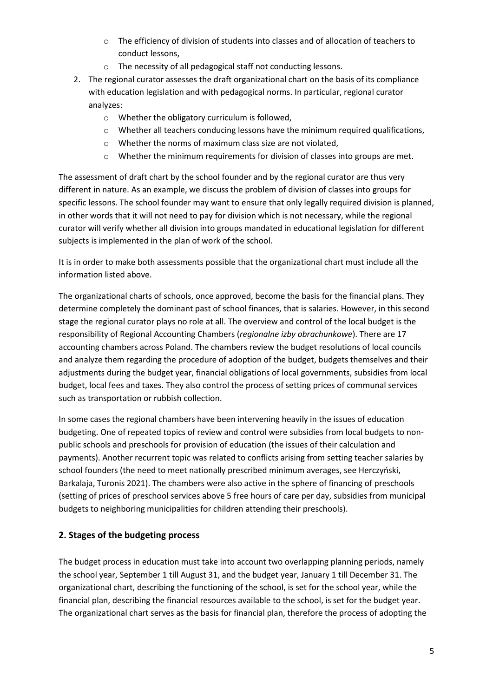- o The efficiency of division of students into classes and of allocation of teachers to conduct lessons,
- o The necessity of all pedagogical staff not conducting lessons.
- 2. The regional curator assesses the draft organizational chart on the basis of its compliance with education legislation and with pedagogical norms. In particular, regional curator analyzes:
	- o Whether the obligatory curriculum is followed,
	- $\circ$  Whether all teachers conducing lessons have the minimum required qualifications,
	- o Whether the norms of maximum class size are not violated,
	- o Whether the minimum requirements for division of classes into groups are met.

The assessment of draft chart by the school founder and by the regional curator are thus very different in nature. As an example, we discuss the problem of division of classes into groups for specific lessons. The school founder may want to ensure that only legally required division is planned, in other words that it will not need to pay for division which is not necessary, while the regional curator will verify whether all division into groups mandated in educational legislation for different subjects is implemented in the plan of work of the school.

It is in order to make both assessments possible that the organizational chart must include all the information listed above.

The organizational charts of schools, once approved, become the basis for the financial plans. They determine completely the dominant past of school finances, that is salaries. However, in this second stage the regional curator plays no role at all. The overview and control of the local budget is the responsibility of Regional Accounting Chambers (*regionalne izby obrachunkowe*). There are 17 accounting chambers across Poland. The chambers review the budget resolutions of local councils and analyze them regarding the procedure of adoption of the budget, budgets themselves and their adjustments during the budget year, financial obligations of local governments, subsidies from local budget, local fees and taxes. They also control the process of setting prices of communal services such as transportation or rubbish collection.

In some cases the regional chambers have been intervening heavily in the issues of education budgeting. One of repeated topics of review and control were subsidies from local budgets to nonpublic schools and preschools for provision of education (the issues of their calculation and payments). Another recurrent topic was related to conflicts arising from setting teacher salaries by school founders (the need to meet nationally prescribed minimum averages, see Herczyński, Barkalaja, Turonis 2021). The chambers were also active in the sphere of financing of preschools (setting of prices of preschool services above 5 free hours of care per day, subsidies from municipal budgets to neighboring municipalities for children attending their preschools).

# <span id="page-4-0"></span>**2. Stages of the budgeting process**

The budget process in education must take into account two overlapping planning periods, namely the school year, September 1 till August 31, and the budget year, January 1 till December 31. The organizational chart, describing the functioning of the school, is set for the school year, while the financial plan, describing the financial resources available to the school, is set for the budget year. The organizational chart serves as the basis for financial plan, therefore the process of adopting the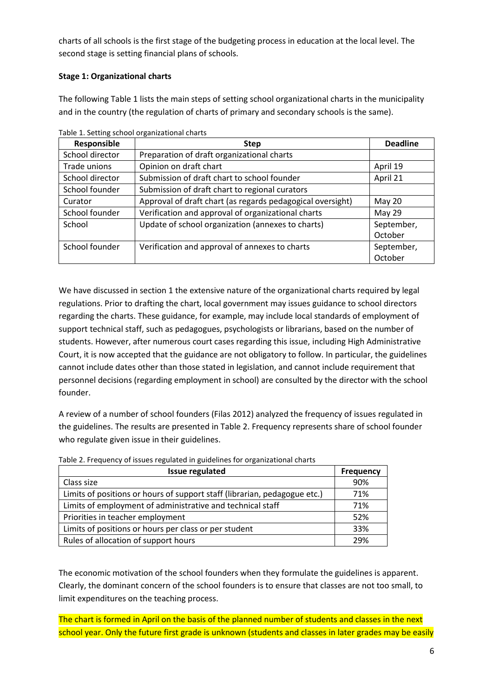charts of all schools is the first stage of the budgeting process in education at the local level. The second stage is setting financial plans of schools.

## <span id="page-5-0"></span>**Stage 1: Organizational charts**

The following [Table 1](#page-5-1) lists the main steps of setting school organizational charts in the municipality and in the country (the regulation of charts of primary and secondary schools is the same).

| Responsible     | <b>Step</b>                                                | <b>Deadline</b> |
|-----------------|------------------------------------------------------------|-----------------|
| School director | Preparation of draft organizational charts                 |                 |
| Trade unions    | Opinion on draft chart                                     | April 19        |
| School director | Submission of draft chart to school founder                | April 21        |
| School founder  | Submission of draft chart to regional curators             |                 |
| Curator         | Approval of draft chart (as regards pedagogical oversight) | May 20          |
| School founder  | Verification and approval of organizational charts         | May 29          |
| School          | Update of school organization (annexes to charts)          | September,      |
|                 |                                                            | October         |
| School founder  | Verification and approval of annexes to charts             | September,      |
|                 |                                                            | October         |

<span id="page-5-1"></span>Table 1. Setting school organizational charts

We have discussed in section 1 the extensive nature of the organizational charts required by legal regulations. Prior to drafting the chart, local government may issues guidance to school directors regarding the charts. These guidance, for example, may include local standards of employment of support technical staff, such as pedagogues, psychologists or librarians, based on the number of students. However, after numerous court cases regarding this issue, including High Administrative Court, it is now accepted that the guidance are not obligatory to follow. In particular, the guidelines cannot include dates other than those stated in legislation, and cannot include requirement that personnel decisions (regarding employment in school) are consulted by the director with the school founder.

A review of a number of school founders (Filas 2012) analyzed the frequency of issues regulated in the guidelines. The results are presented i[n Table 2.](#page-5-2) Frequency represents share of school founder who regulate given issue in their guidelines.

| <b>Issue regulated</b>                                                    | <b>Frequency</b> |
|---------------------------------------------------------------------------|------------------|
| Class size                                                                | 90%              |
| Limits of positions or hours of support staff (librarian, pedagogue etc.) | 71%              |
| Limits of employment of administrative and technical staff                | 71%              |
| Priorities in teacher employment                                          | 52%              |
| Limits of positions or hours per class or per student                     | 33%              |
| Rules of allocation of support hours                                      | 29%              |

<span id="page-5-2"></span>Table 2. Frequency of issues regulated in guidelines for organizational charts

The economic motivation of the school founders when they formulate the guidelines is apparent. Clearly, the dominant concern of the school founders is to ensure that classes are not too small, to limit expenditures on the teaching process.

The chart is formed in April on the basis of the planned number of students and classes in the next school year. Only the future first grade is unknown (students and classes in later grades may be easily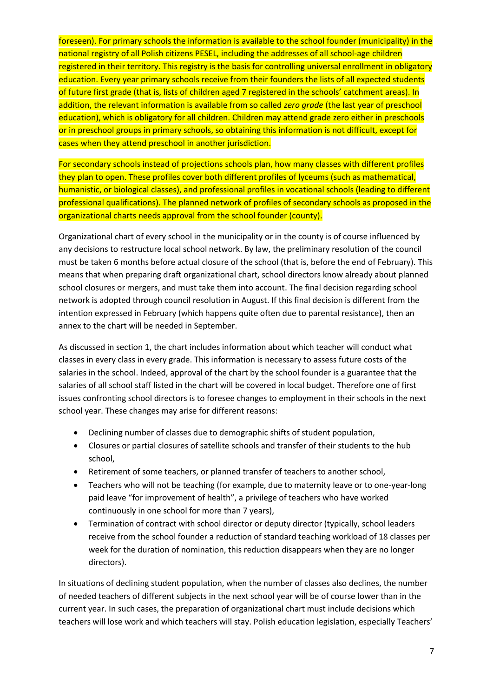foreseen). For primary schools the information is available to the school founder (municipality) in the national registry of all Polish citizens PESEL, including the addresses of all school-age children registered in their territory. This registry is the basis for controlling universal enrollment in obligatory education. Every year primary schools receive from their founders the lists of all expected students of future first grade (that is, lists of children aged 7 registered in the schools' catchment areas). In addition, the relevant information is available from so called *zero grade* (the last year of preschool education), which is obligatory for all children. Children may attend grade zero either in preschools or in preschool groups in primary schools, so obtaining this information is not difficult, except for cases when they attend preschool in another jurisdiction.

For secondary schools instead of projections schools plan, how many classes with different profiles they plan to open. These profiles cover both different profiles of lyceums (such as mathematical, humanistic, or biological classes), and professional profiles in vocational schools (leading to different professional qualifications). The planned network of profiles of secondary schools as proposed in the organizational charts needs approval from the school founder (county).

Organizational chart of every school in the municipality or in the county is of course influenced by any decisions to restructure local school network. By law, the preliminary resolution of the council must be taken 6 months before actual closure of the school (that is, before the end of February). This means that when preparing draft organizational chart, school directors know already about planned school closures or mergers, and must take them into account. The final decision regarding school network is adopted through council resolution in August. If this final decision is different from the intention expressed in February (which happens quite often due to parental resistance), then an annex to the chart will be needed in September.

As discussed in section 1, the chart includes information about which teacher will conduct what classes in every class in every grade. This information is necessary to assess future costs of the salaries in the school. Indeed, approval of the chart by the school founder is a guarantee that the salaries of all school staff listed in the chart will be covered in local budget. Therefore one of first issues confronting school directors is to foresee changes to employment in their schools in the next school year. These changes may arise for different reasons:

- Declining number of classes due to demographic shifts of student population,
- Closures or partial closures of satellite schools and transfer of their students to the hub school,
- Retirement of some teachers, or planned transfer of teachers to another school,
- Teachers who will not be teaching (for example, due to maternity leave or to one-year-long paid leave "for improvement of health", a privilege of teachers who have worked continuously in one school for more than 7 years),
- Termination of contract with school director or deputy director (typically, school leaders receive from the school founder a reduction of standard teaching workload of 18 classes per week for the duration of nomination, this reduction disappears when they are no longer directors).

In situations of declining student population, when the number of classes also declines, the number of needed teachers of different subjects in the next school year will be of course lower than in the current year. In such cases, the preparation of organizational chart must include decisions which teachers will lose work and which teachers will stay. Polish education legislation, especially Teachers'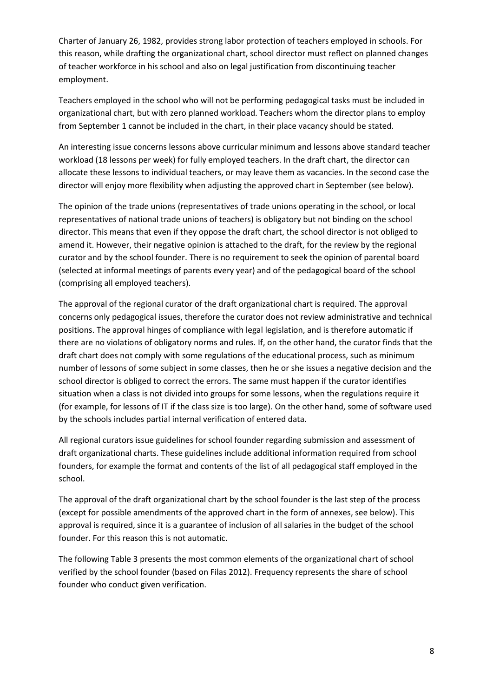Charter of January 26, 1982, provides strong labor protection of teachers employed in schools. For this reason, while drafting the organizational chart, school director must reflect on planned changes of teacher workforce in his school and also on legal justification from discontinuing teacher employment.

Teachers employed in the school who will not be performing pedagogical tasks must be included in organizational chart, but with zero planned workload. Teachers whom the director plans to employ from September 1 cannot be included in the chart, in their place vacancy should be stated.

An interesting issue concerns lessons above curricular minimum and lessons above standard teacher workload (18 lessons per week) for fully employed teachers. In the draft chart, the director can allocate these lessons to individual teachers, or may leave them as vacancies. In the second case the director will enjoy more flexibility when adjusting the approved chart in September (see below).

The opinion of the trade unions (representatives of trade unions operating in the school, or local representatives of national trade unions of teachers) is obligatory but not binding on the school director. This means that even if they oppose the draft chart, the school director is not obliged to amend it. However, their negative opinion is attached to the draft, for the review by the regional curator and by the school founder. There is no requirement to seek the opinion of parental board (selected at informal meetings of parents every year) and of the pedagogical board of the school (comprising all employed teachers).

The approval of the regional curator of the draft organizational chart is required. The approval concerns only pedagogical issues, therefore the curator does not review administrative and technical positions. The approval hinges of compliance with legal legislation, and is therefore automatic if there are no violations of obligatory norms and rules. If, on the other hand, the curator finds that the draft chart does not comply with some regulations of the educational process, such as minimum number of lessons of some subject in some classes, then he or she issues a negative decision and the school director is obliged to correct the errors. The same must happen if the curator identifies situation when a class is not divided into groups for some lessons, when the regulations require it (for example, for lessons of IT if the class size is too large). On the other hand, some of software used by the schools includes partial internal verification of entered data.

All regional curators issue guidelines for school founder regarding submission and assessment of draft organizational charts. These guidelines include additional information required from school founders, for example the format and contents of the list of all pedagogical staff employed in the school.

The approval of the draft organizational chart by the school founder is the last step of the process (except for possible amendments of the approved chart in the form of annexes, see below). This approval is required, since it is a guarantee of inclusion of all salaries in the budget of the school founder. For this reason this is not automatic.

The following [Table 3](#page-8-0) presents the most common elements of the organizational chart of school verified by the school founder (based on Filas 2012). Frequency represents the share of school founder who conduct given verification.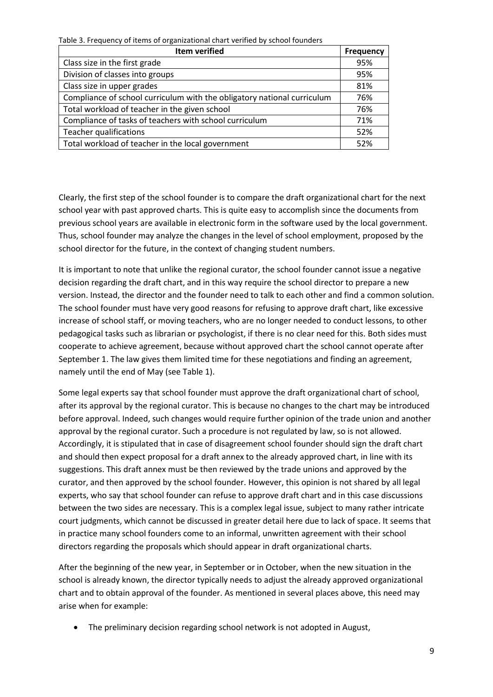<span id="page-8-0"></span>Table 3. Frequency of items of organizational chart verified by school founders

| <b>Item verified</b>                                                    |     |
|-------------------------------------------------------------------------|-----|
| Class size in the first grade                                           | 95% |
| Division of classes into groups                                         | 95% |
| Class size in upper grades                                              | 81% |
| Compliance of school curriculum with the obligatory national curriculum | 76% |
| Total workload of teacher in the given school                           | 76% |
| Compliance of tasks of teachers with school curriculum                  | 71% |
| <b>Teacher qualifications</b>                                           | 52% |
| Total workload of teacher in the local government                       | 52% |

Clearly, the first step of the school founder is to compare the draft organizational chart for the next school year with past approved charts. This is quite easy to accomplish since the documents from previous school years are available in electronic form in the software used by the local government. Thus, school founder may analyze the changes in the level of school employment, proposed by the school director for the future, in the context of changing student numbers.

It is important to note that unlike the regional curator, the school founder cannot issue a negative decision regarding the draft chart, and in this way require the school director to prepare a new version. Instead, the director and the founder need to talk to each other and find a common solution. The school founder must have very good reasons for refusing to approve draft chart, like excessive increase of school staff, or moving teachers, who are no longer needed to conduct lessons, to other pedagogical tasks such as librarian or psychologist, if there is no clear need for this. Both sides must cooperate to achieve agreement, because without approved chart the school cannot operate after September 1. The law gives them limited time for these negotiations and finding an agreement, namely until the end of May (see [Table 1\)](#page-5-1).

Some legal experts say that school founder must approve the draft organizational chart of school, after its approval by the regional curator. This is because no changes to the chart may be introduced before approval. Indeed, such changes would require further opinion of the trade union and another approval by the regional curator. Such a procedure is not regulated by law, so is not allowed. Accordingly, it is stipulated that in case of disagreement school founder should sign the draft chart and should then expect proposal for a draft annex to the already approved chart, in line with its suggestions. This draft annex must be then reviewed by the trade unions and approved by the curator, and then approved by the school founder. However, this opinion is not shared by all legal experts, who say that school founder can refuse to approve draft chart and in this case discussions between the two sides are necessary. This is a complex legal issue, subject to many rather intricate court judgments, which cannot be discussed in greater detail here due to lack of space. It seems that in practice many school founders come to an informal, unwritten agreement with their school directors regarding the proposals which should appear in draft organizational charts.

After the beginning of the new year, in September or in October, when the new situation in the school is already known, the director typically needs to adjust the already approved organizational chart and to obtain approval of the founder. As mentioned in several places above, this need may arise when for example:

• The preliminary decision regarding school network is not adopted in August,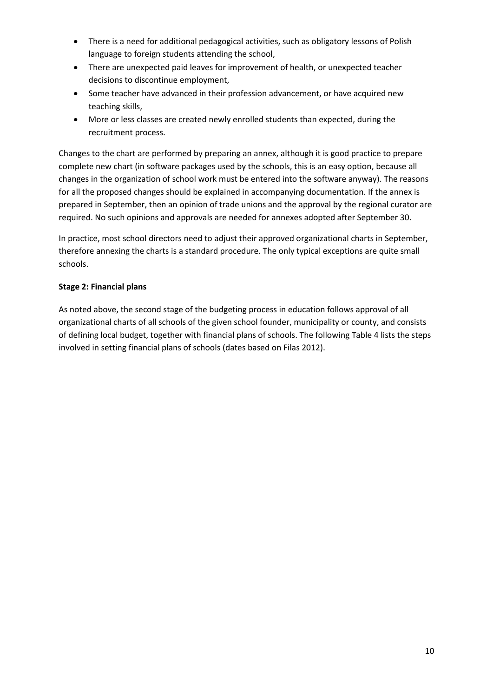- There is a need for additional pedagogical activities, such as obligatory lessons of Polish language to foreign students attending the school,
- There are unexpected paid leaves for improvement of health, or unexpected teacher decisions to discontinue employment,
- Some teacher have advanced in their profession advancement, or have acquired new teaching skills,
- More or less classes are created newly enrolled students than expected, during the recruitment process.

Changes to the chart are performed by preparing an annex, although it is good practice to prepare complete new chart (in software packages used by the schools, this is an easy option, because all changes in the organization of school work must be entered into the software anyway). The reasons for all the proposed changes should be explained in accompanying documentation. If the annex is prepared in September, then an opinion of trade unions and the approval by the regional curator are required. No such opinions and approvals are needed for annexes adopted after September 30.

In practice, most school directors need to adjust their approved organizational charts in September, therefore annexing the charts is a standard procedure. The only typical exceptions are quite small schools.

## <span id="page-9-0"></span>**Stage 2: Financial plans**

As noted above, the second stage of the budgeting process in education follows approval of all organizational charts of all schools of the given school founder, municipality or county, and consists of defining local budget, together with financial plans of schools. The followin[g Table 4](#page-10-0) lists the steps involved in setting financial plans of schools (dates based on Filas 2012).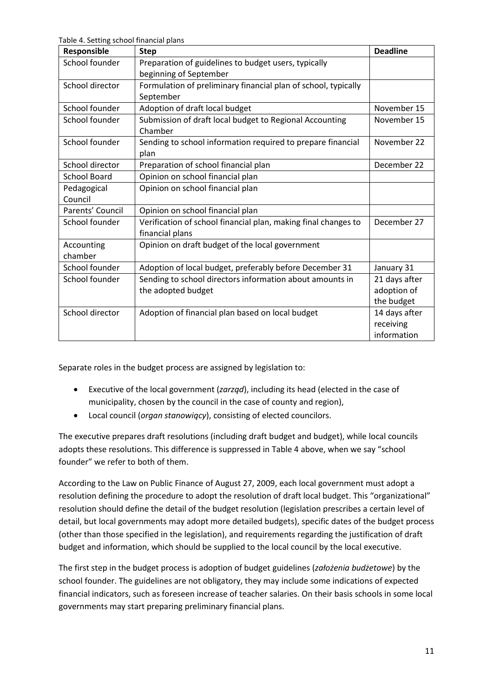<span id="page-10-0"></span>Table 4. Setting school financial plans

| Responsible         | <b>Step</b>                                                    | <b>Deadline</b> |
|---------------------|----------------------------------------------------------------|-----------------|
| School founder      | Preparation of guidelines to budget users, typically           |                 |
|                     | beginning of September                                         |                 |
| School director     | Formulation of preliminary financial plan of school, typically |                 |
|                     | September                                                      |                 |
| School founder      | Adoption of draft local budget                                 | November 15     |
| School founder      | Submission of draft local budget to Regional Accounting        | November 15     |
|                     | Chamber                                                        |                 |
| School founder      | Sending to school information required to prepare financial    | November 22     |
|                     | plan                                                           |                 |
| School director     | Preparation of school financial plan                           | December 22     |
| <b>School Board</b> | Opinion on school financial plan                               |                 |
| Pedagogical         | Opinion on school financial plan                               |                 |
| Council             |                                                                |                 |
| Parents' Council    | Opinion on school financial plan                               |                 |
| School founder      | Verification of school financial plan, making final changes to | December 27     |
|                     | financial plans                                                |                 |
| Accounting          | Opinion on draft budget of the local government                |                 |
| chamber             |                                                                |                 |
| School founder      | Adoption of local budget, preferably before December 31        | January 31      |
| School founder      | Sending to school directors information about amounts in       | 21 days after   |
|                     | the adopted budget                                             | adoption of     |
|                     |                                                                | the budget      |
| School director     | Adoption of financial plan based on local budget               | 14 days after   |
|                     |                                                                | receiving       |
|                     |                                                                | information     |

Separate roles in the budget process are assigned by legislation to:

- Executive of the local government (*zarząd*), including its head (elected in the case of municipality, chosen by the council in the case of county and region),
- Local council (*organ stanowiący*), consisting of elected councilors.

The executive prepares draft resolutions (including draft budget and budget), while local councils adopts these resolutions. This difference is suppressed in [Table 4](#page-10-0) above, when we say "school founder" we refer to both of them.

According to the Law on Public Finance of August 27, 2009, each local government must adopt a resolution defining the procedure to adopt the resolution of draft local budget. This "organizational" resolution should define the detail of the budget resolution (legislation prescribes a certain level of detail, but local governments may adopt more detailed budgets), specific dates of the budget process (other than those specified in the legislation), and requirements regarding the justification of draft budget and information, which should be supplied to the local council by the local executive.

The first step in the budget process is adoption of budget guidelines (*założenia budżetowe*) by the school founder. The guidelines are not obligatory, they may include some indications of expected financial indicators, such as foreseen increase of teacher salaries. On their basis schools in some local governments may start preparing preliminary financial plans.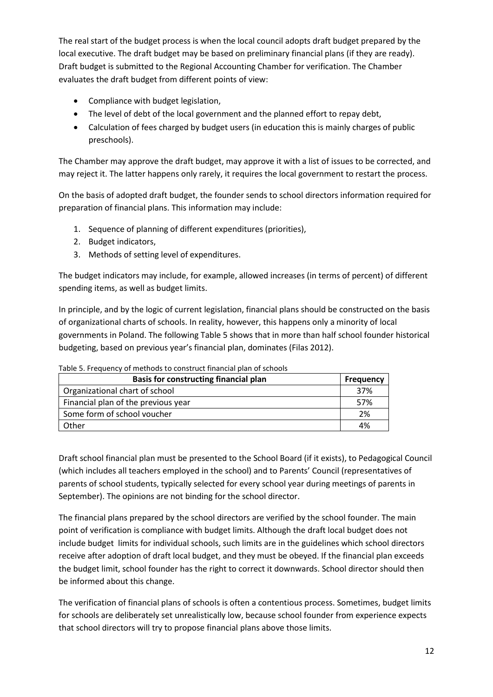The real start of the budget process is when the local council adopts draft budget prepared by the local executive. The draft budget may be based on preliminary financial plans (if they are ready). Draft budget is submitted to the Regional Accounting Chamber for verification. The Chamber evaluates the draft budget from different points of view:

- Compliance with budget legislation,
- The level of debt of the local government and the planned effort to repay debt,
- Calculation of fees charged by budget users (in education this is mainly charges of public preschools).

The Chamber may approve the draft budget, may approve it with a list of issues to be corrected, and may reject it. The latter happens only rarely, it requires the local government to restart the process.

On the basis of adopted draft budget, the founder sends to school directors information required for preparation of financial plans. This information may include:

- 1. Sequence of planning of different expenditures (priorities),
- 2. Budget indicators,
- 3. Methods of setting level of expenditures.

The budget indicators may include, for example, allowed increases (in terms of percent) of different spending items, as well as budget limits.

In principle, and by the logic of current legislation, financial plans should be constructed on the basis of organizational charts of schools. In reality, however, this happens only a minority of local governments in Poland. The followin[g Table 5](#page-11-0) shows that in more than half school founder historical budgeting, based on previous year's financial plan, dominates (Filas 2012).

| Basis for constructing financial plan | <b>Frequency</b> |
|---------------------------------------|------------------|
| Organizational chart of school        | 37%              |
| Financial plan of the previous year   | 57%              |
| Some form of school voucher           | 2%               |
| Other                                 | 4%               |

<span id="page-11-0"></span>Table 5. Frequency of methods to construct financial plan of schools

Draft school financial plan must be presented to the School Board (if it exists), to Pedagogical Council (which includes all teachers employed in the school) and to Parents' Council (representatives of parents of school students, typically selected for every school year during meetings of parents in September). The opinions are not binding for the school director.

The financial plans prepared by the school directors are verified by the school founder. The main point of verification is compliance with budget limits. Although the draft local budget does not include budget limits for individual schools, such limits are in the guidelines which school directors receive after adoption of draft local budget, and they must be obeyed. If the financial plan exceeds the budget limit, school founder has the right to correct it downwards. School director should then be informed about this change.

The verification of financial plans of schools is often a contentious process. Sometimes, budget limits for schools are deliberately set unrealistically low, because school founder from experience expects that school directors will try to propose financial plans above those limits.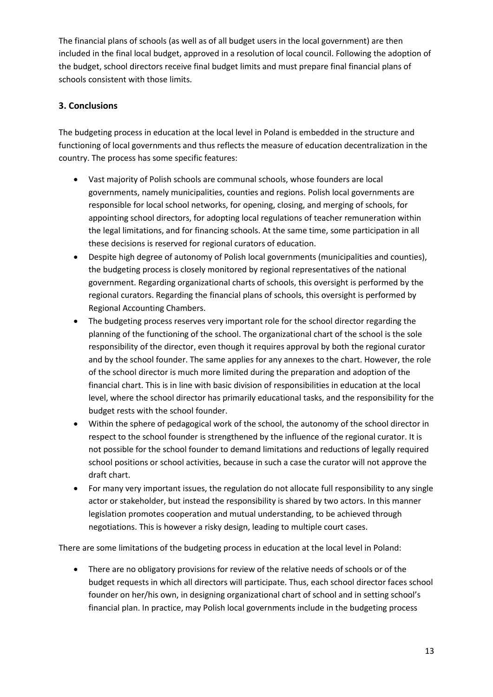The financial plans of schools (as well as of all budget users in the local government) are then included in the final local budget, approved in a resolution of local council. Following the adoption of the budget, school directors receive final budget limits and must prepare final financial plans of schools consistent with those limits.

# <span id="page-12-0"></span>**3. Conclusions**

The budgeting process in education at the local level in Poland is embedded in the structure and functioning of local governments and thus reflects the measure of education decentralization in the country. The process has some specific features:

- Vast majority of Polish schools are communal schools, whose founders are local governments, namely municipalities, counties and regions. Polish local governments are responsible for local school networks, for opening, closing, and merging of schools, for appointing school directors, for adopting local regulations of teacher remuneration within the legal limitations, and for financing schools. At the same time, some participation in all these decisions is reserved for regional curators of education.
- Despite high degree of autonomy of Polish local governments (municipalities and counties), the budgeting process is closely monitored by regional representatives of the national government. Regarding organizational charts of schools, this oversight is performed by the regional curators. Regarding the financial plans of schools, this oversight is performed by Regional Accounting Chambers.
- The budgeting process reserves very important role for the school director regarding the planning of the functioning of the school. The organizational chart of the school is the sole responsibility of the director, even though it requires approval by both the regional curator and by the school founder. The same applies for any annexes to the chart. However, the role of the school director is much more limited during the preparation and adoption of the financial chart. This is in line with basic division of responsibilities in education at the local level, where the school director has primarily educational tasks, and the responsibility for the budget rests with the school founder.
- Within the sphere of pedagogical work of the school, the autonomy of the school director in respect to the school founder is strengthened by the influence of the regional curator. It is not possible for the school founder to demand limitations and reductions of legally required school positions or school activities, because in such a case the curator will not approve the draft chart.
- For many very important issues, the regulation do not allocate full responsibility to any single actor or stakeholder, but instead the responsibility is shared by two actors. In this manner legislation promotes cooperation and mutual understanding, to be achieved through negotiations. This is however a risky design, leading to multiple court cases.

There are some limitations of the budgeting process in education at the local level in Poland:

• There are no obligatory provisions for review of the relative needs of schools or of the budget requests in which all directors will participate. Thus, each school director faces school founder on her/his own, in designing organizational chart of school and in setting school's financial plan. In practice, may Polish local governments include in the budgeting process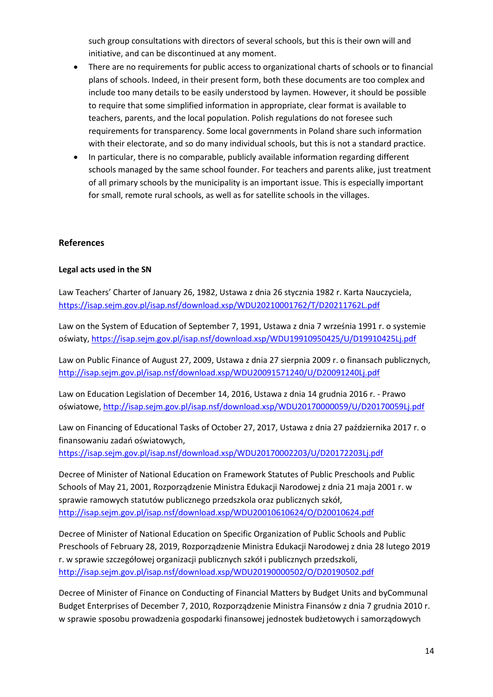such group consultations with directors of several schools, but this is their own will and initiative, and can be discontinued at any moment.

- There are no requirements for public access to organizational charts of schools or to financial plans of schools. Indeed, in their present form, both these documents are too complex and include too many details to be easily understood by laymen. However, it should be possible to require that some simplified information in appropriate, clear format is available to teachers, parents, and the local population. Polish regulations do not foresee such requirements for transparency. Some local governments in Poland share such information with their electorate, and so do many individual schools, but this is not a standard practice.
- In particular, there is no comparable, publicly available information regarding different schools managed by the same school founder. For teachers and parents alike, just treatment of all primary schools by the municipality is an important issue. This is especially important for small, remote rural schools, as well as for satellite schools in the villages.

#### <span id="page-13-0"></span>**References**

#### <span id="page-13-1"></span>**Legal acts used in the SN**

Law Teachers' Charter of January 26, 1982, Ustawa z dnia 26 stycznia 1982 r. Karta Nauczyciela, <https://isap.sejm.gov.pl/isap.nsf/download.xsp/WDU20210001762/T/D20211762L.pdf>

Law on the System of Education of September 7, 1991, Ustawa z dnia 7 września 1991 r. o systemie oświaty, <https://isap.sejm.gov.pl/isap.nsf/download.xsp/WDU19910950425/U/D19910425Lj.pdf>

Law on Public Finance of August 27, 2009, Ustawa z dnia 27 sierpnia 2009 r. o finansach publicznych, <http://isap.sejm.gov.pl/isap.nsf/download.xsp/WDU20091571240/U/D20091240Lj.pdf>

Law on Education Legislation of December 14, 2016, Ustawa z dnia 14 grudnia 2016 r. - Prawo oświatowe, <http://isap.sejm.gov.pl/isap.nsf/download.xsp/WDU20170000059/U/D20170059Lj.pdf>

Law on Financing of Educational Tasks of October 27, 2017, Ustawa z dnia 27 października 2017 r. o finansowaniu zadań oświatowych,

<https://isap.sejm.gov.pl/isap.nsf/download.xsp/WDU20170002203/U/D20172203Lj.pdf>

Decree of Minister of National Education on Framework Statutes of Public Preschools and Public Schools of May 21, 2001, Rozporządzenie Ministra Edukacji Narodowej z dnia 21 maja 2001 r. w sprawie ramowych statutów publicznego przedszkola oraz publicznych szkół, <http://isap.sejm.gov.pl/isap.nsf/download.xsp/WDU20010610624/O/D20010624.pdf>

Decree of Minister of National Education on Specific Organization of Public Schools and Public Preschools of February 28, 2019, Rozporządzenie Ministra Edukacji Narodowej z dnia 28 lutego 2019 r. w sprawie szczegółowej organizacji publicznych szkół i publicznych przedszkoli, <http://isap.sejm.gov.pl/isap.nsf/download.xsp/WDU20190000502/O/D20190502.pdf>

Decree of Minister of Finance on Conducting of Financial Matters by Budget Units and byCommunal Budget Enterprises of December 7, 2010, Rozporządzenie Ministra Finansów z dnia 7 grudnia 2010 r. w sprawie sposobu prowadzenia gospodarki finansowej jednostek budżetowych i samorządowych